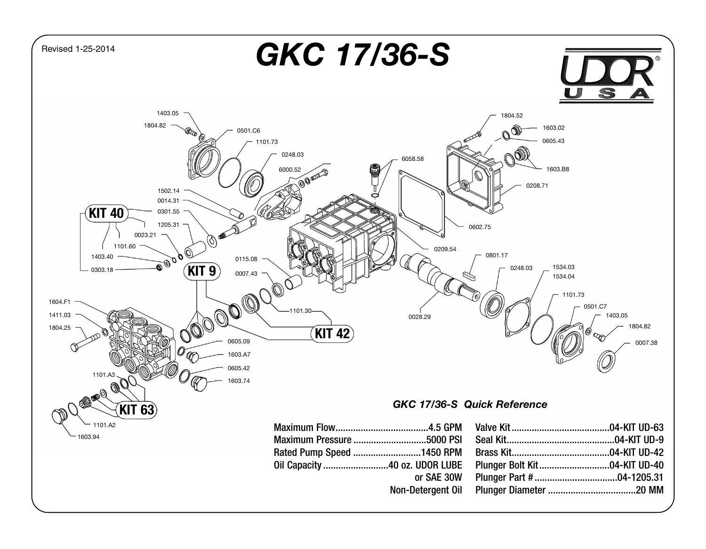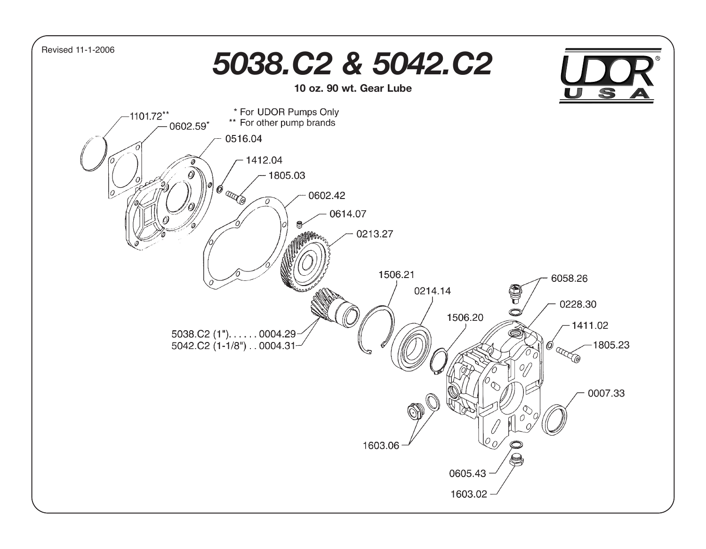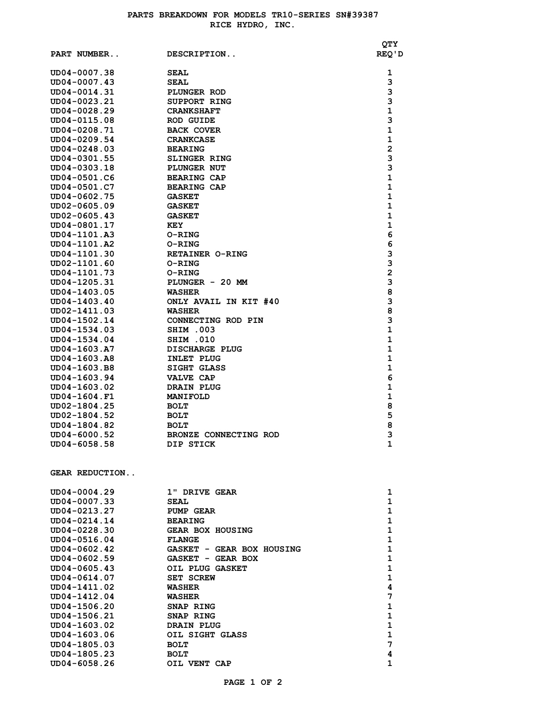| PART NUMBER                  | DESCRIPTION               | QTY<br>REQ ' D    |
|------------------------------|---------------------------|-------------------|
| UD04-0007.38                 | <b>SEAL</b>               | 1                 |
| UD04-0007.43                 | <b>SEAL</b>               | 3                 |
| UD04-0014.31                 | PLUNGER ROD               | 3                 |
| UD04-0023.21                 | SUPPORT RING              | 3                 |
| UD04-0028.29                 | <b>CRANKSHAFT</b>         | $\mathbf 1$       |
| UD04-0115.08                 | <b>ROD GUIDE</b>          | 3                 |
| UD04-0208.71                 | <b>BACK COVER</b>         | $\mathbf{1}$      |
| UD04-0209.54                 | <b>CRANKCASE</b>          | $\mathbf 1$       |
| UD04-0248.03                 | <b>BEARING</b>            | $\mathbf{2}$      |
| UD04-0301.55                 | <b>SLINGER RING</b>       | 3                 |
| UD04-0303.18                 | <b>PLUNGER NUT</b>        | 3                 |
| UD04-0501.C6                 | <b>BEARING CAP</b>        | $\mathbf{1}$      |
| UD04-0501.C7                 | <b>BEARING CAP</b>        | $\mathbf{1}$      |
| UD04-0602.75                 | <b>GASKET</b>             | $\mathbf{1}$      |
| UD02-0605.09<br>UD02-0605.43 | <b>GASKET</b>             | 1<br>$\mathbf{1}$ |
| UD04-0801.17                 | <b>GASKET</b><br>KEY      | $\mathbf 1$       |
| UD04-1101.A3                 | O-RING                    | 6                 |
| UD04-1101.A2                 | O-RING                    | 6                 |
| UD04-1101.30                 | <b>RETAINER O-RING</b>    | 3                 |
| UD02-1101.60                 | <b>O-RING</b>             | 3                 |
| UD04-1101.73                 | O-RING                    | $\mathbf{2}$      |
| UD04-1205.31                 | PLUNGER - 20 MM           | 3                 |
| UD04-1403.05                 | <b>WASHER</b>             | 8                 |
| UD04-1403.40                 | ONLY AVAIL IN KIT #40     | 3                 |
| UD02-1411.03                 | <b>WASHER</b>             | 8                 |
| UD04-1502.14                 | CONNECTING ROD PIN        | 3                 |
| UD04-1534.03                 | SHIM .003                 | $\mathbf{1}$      |
| UD04-1534.04                 | SHIM .010                 | $\mathbf{1}$      |
| UD04-1603.A7                 | DISCHARGE PLUG            | $\mathbf{1}$      |
| UD04-1603.A8                 | INLET PLUG                | $\mathbf{1}$      |
| UD04-1603.B8                 | SIGHT GLASS               | 1                 |
| UD04-1603.94                 | <b>VALVE CAP</b>          | 6                 |
| UD04-1603.02                 | DRAIN PLUG                | $\mathbf{1}$      |
| UD04-1604.F1                 | <b>MANIFOLD</b>           | $\mathbf 1$       |
| UD02-1804.25                 | <b>BOLT</b>               | 8                 |
| UD02-1804.52                 | <b>BOLT</b>               | 5                 |
| UD04-1804.82                 | <b>BOLT</b>               | 8                 |
| UD04-6000.52                 | BRONZE CONNECTING ROD     | 3                 |
| UD04-6058.58                 | DIP STICK                 | 1                 |
| <b>GEAR REDUCTION</b>        |                           |                   |
| UD04-0004.29                 | 1" DRIVE GEAR             | 1                 |
| UD04-0007.33                 | <b>SEAL</b>               | $\mathbf 1$       |
| UD04-0213.27                 | PUMP GEAR                 | 1                 |
| UD04-0214.14                 | <b>BEARING</b>            | 1                 |
| UD04-0228.30                 | <b>GEAR BOX HOUSING</b>   | $\mathbf{1}$      |
| UD04-0516.04                 | <b>FLANGE</b>             | $\mathbf{1}$      |
| UD04-0602.42                 | GASKET - GEAR BOX HOUSING | $\mathbf{1}$      |
| UD04-0602.59                 | GASKET - GEAR BOX         | 1                 |
| UD04-0605.43                 | OIL PLUG GASKET           | 1                 |
| UD04-0614.07                 | SET SCREW                 | $\mathbf{1}$      |
| UD04-1411.02                 | <b>WASHER</b>             | 4                 |
| UD04-1412.04                 | WASHER                    | 7                 |
| UD04-1506.20                 | SNAP RING                 | $\mathbf{1}$      |
| UD04-1506.21                 | SNAP RING                 | $\mathbf 1$       |
| UD04-1603.02                 | DRAIN PLUG                | $\mathbf{1}$      |
| UD04-1603.06                 | OIL SIGHT GLASS           | $\mathbf{1}$      |
| UD04-1805.03                 | <b>BOLT</b>               | 7                 |
| UD04-1805.23                 | <b>BOLT</b>               | 4                 |
| UD04-6058.26                 | OIL VENT CAP              | $\mathbf{1}$      |